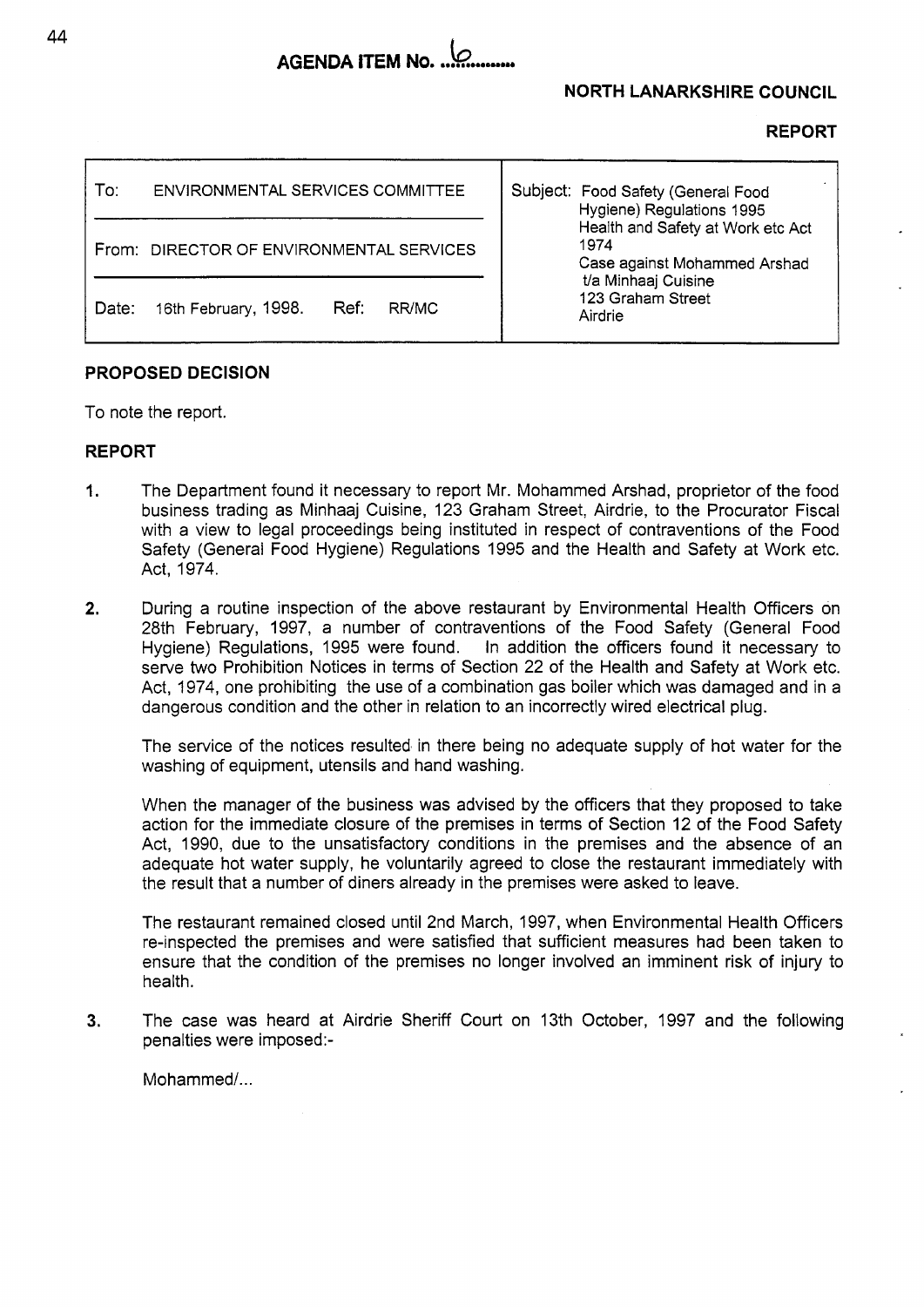# AGENDA ITEM No. .............

## **NORTH LANARKSHIRE COUNCIL**

| ENVIRONMENTAL SERVICES COMMITTEE<br>To:        | Subject: Food Safety (General Food<br>Hygiene) Regulations 1995<br>Health and Safety at Work etc Act<br>1974<br>Case against Mohammed Arshad<br>t/a Minhaaj Cuisine<br>123 Graham Street<br>Airdrie |
|------------------------------------------------|-----------------------------------------------------------------------------------------------------------------------------------------------------------------------------------------------------|
| From: DIRECTOR OF ENVIRONMENTAL SERVICES       |                                                                                                                                                                                                     |
| 16th February, 1998.<br>Ref:<br>Date:<br>RR/MC |                                                                                                                                                                                                     |

# **PROPOSED DECISION**

To note the report.

## **REPORT**

- I. The Department found it necessary to report Mr. Mohammed Arshad, proprietor of the food business trading as Minhaaj Cuisine, 123 Graham Street, Airdrie, to the Procurator Fiscal with a view to legal proceedings being instituted in respect of contraventions of the Food Safety (General Food Hygiene) Regulations 1995 and the Health and Safety at Work etc. Act, 1974.
- **2.** During a routine inspection of the above restaurant by Environmental Health Officers on 28th February, 1997, a number of contraventions of the Food Safety (General Food Hygiene) Regulations, 1995 were found. In addition the officers found it necessary to serve two Prohibition Notices in terms of Section 22 of the Health and Safety at Work etc. Act, 1974, one prohibiting the use of a combination gas boiler which was damaged and in a dangerous condition and the other in relation to an incorrectly wired electrical plug.

The service of the notices resulted in there being no adequate supply of hot water for the washing of equipment, utensils and hand washing.

When the manager of the business was advised by the officers that they proposed to take action for the immediate closure of the premises in terms of Section 12 of the Food Safety Act, 1990, due to the unsatisfactory conditions in the premises and the absence of an adequate hot water supply, he voluntarily agreed to close the restaurant immediately with the result that a number of diners already in the premises were asked to leave.

The restaurant remained closed until 2nd March, 1997, when Environmental Health Officers re-inspected the premises and were satisfied that sufficient measures had been taken to ensure that the condition of the premises no longer involved an imminent risk of injury to health.

**3.** The case was heard at Airdrie Sheriff Court on 13th October, 1997 and the following penalties were imposed:-

Mohammed/...